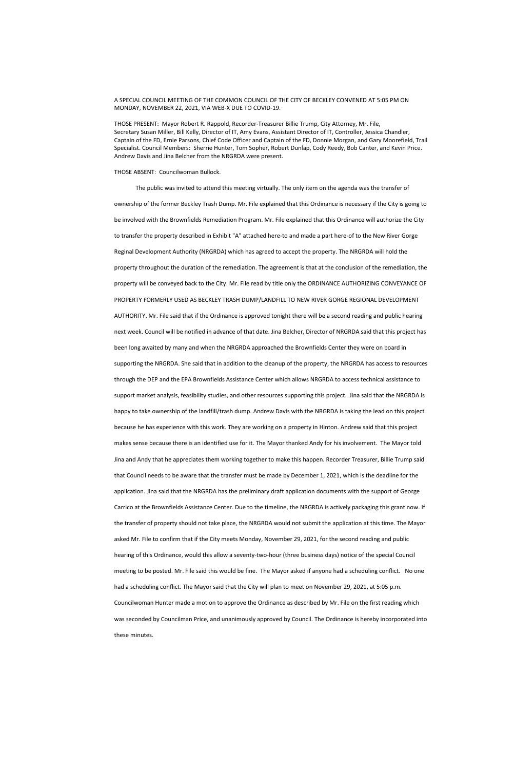## A SPECIAL COUNCIL MEETING OF THE COMMON COUNCIL OF THE CITY OF BECKLEY CONVENED AT 5:05 PM ON MONDAY, NOVEMBER 22, 2021, VIA WEB-X DUE TO COVID-19.

THOSE PRESENT: Mayor Robert R. Rappold, Recorder-Treasurer Billie Trump, City Attorney, Mr. File, Secretary Susan Miller, Bill Kelly, Director of IT, Amy Evans, Assistant Director of IT, Controller, Jessica Chandler, Captain of the FD, Ernie Parsons, Chief Code Officer and Captain of the FD, Donnie Morgan, and Gary Moorefield, Trail Specialist. Council Members: Sherrie Hunter, Tom Sopher, Robert Dunlap, Cody Reedy, Bob Canter, and Kevin Price. Andrew Davis and Jina Belcher from the NRGRDA were present.

## THOSE ABSENT: Councilwoman Bullock.

 The public was invited to attend this meeting virtually. The only item on the agenda was the transfer of ownership of the former Beckley Trash Dump. Mr. File explained that this Ordinance is necessary if the City is going to be involved with the Brownfields Remediation Program. Mr. File explained that this Ordinance will authorize the City to transfer the property described in Exhibit "A" attached here-to and made a part here-of to the New River Gorge Reginal Development Authority (NRGRDA) which has agreed to accept the property. The NRGRDA will hold the property throughout the duration of the remediation. The agreement is that at the conclusion of the remediation, the property will be conveyed back to the City. Mr. File read by title only the ORDINANCE AUTHORIZING CONVEYANCE OF PROPERTY FORMERLY USED AS BECKLEY TRASH DUMP/LANDFILL TO NEW RIVER GORGE REGIONAL DEVELOPMENT AUTHORITY. Mr. File said that if the Ordinance is approved tonight there will be a second reading and public hearing next week. Council will be notified in advance of that date. Jina Belcher, Director of NRGRDA said that this project has been long awaited by many and when the NRGRDA approached the Brownfields Center they were on board in supporting the NRGRDA. She said that in addition to the cleanup of the property, the NRGRDA has access to resources through the DEP and the EPA Brownfields Assistance Center which allows NRGRDA to access technical assistance to support market analysis, feasibility studies, and other resources supporting this project. Jina said that the NRGRDA is happy to take ownership of the landfill/trash dump. Andrew Davis with the NRGRDA is taking the lead on this project because he has experience with this work. They are working on a property in Hinton. Andrew said that this project makes sense because there is an identified use for it. The Mayor thanked Andy for his involvement. The Mayor told Jina and Andy that he appreciates them working together to make this happen. Recorder Treasurer, Billie Trump said that Council needs to be aware that the transfer must be made by December 1, 2021, which is the deadline for the application. Jina said that the NRGRDA has the preliminary draft application documents with the support of George Carrico at the Brownfields Assistance Center. Due to the timeline, the NRGRDA is actively packaging this grant now. If the transfer of property should not take place, the NRGRDA would not submit the application at this time. The Mayor

asked Mr. File to confirm that if the City meets Monday, November 29, 2021, for the second reading and public

hearing of this Ordinance, would this allow a seventy-two-hour (three business days) notice of the special Council

meeting to be posted. Mr. File said this would be fine. The Mayor asked if anyone had a scheduling conflict. No one

had a scheduling conflict. The Mayor said that the City will plan to meet on November 29, 2021, at 5:05 p.m.

Councilwoman Hunter made a motion to approve the Ordinance as described by Mr. File on the first reading which

was seconded by Councilman Price, and unanimously approved by Council. The Ordinance is hereby incorporated into these minutes.